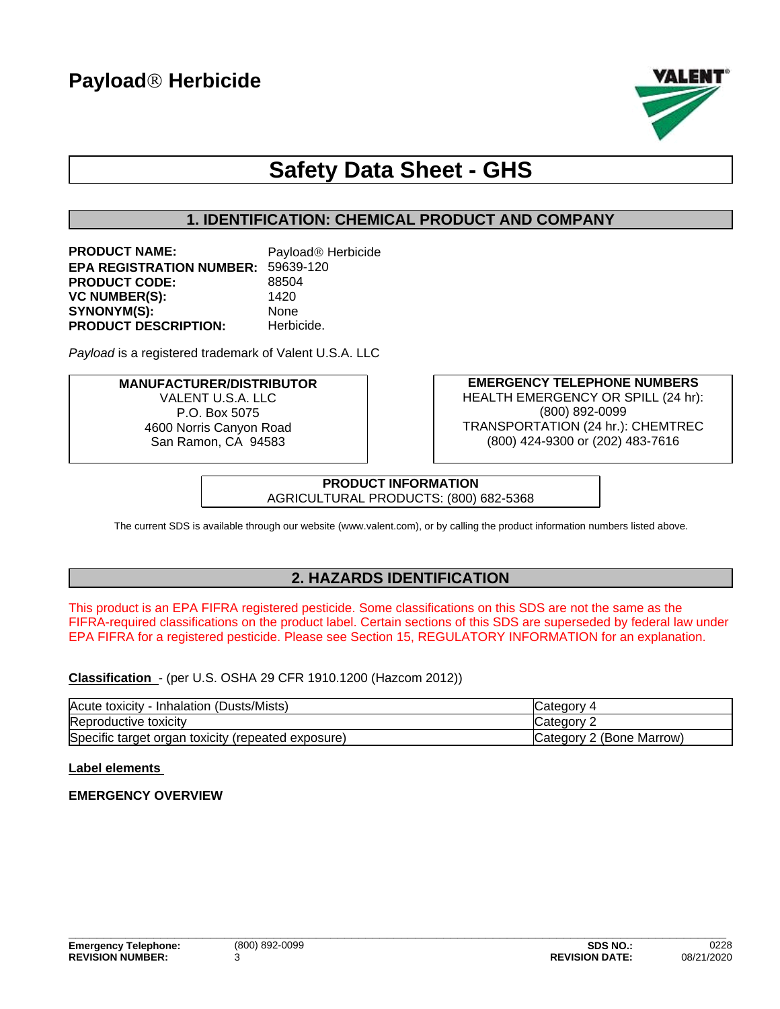

## **Safety Data Sheet - GHS**

## **1. IDENTIFICATION: CHEMICAL PRODUCT AND COMPANY**

**PRODUCT NAME:** Payload<sup>®</sup> Herbicide **EPA REGISTRATION NUMBER:** 59639-120 PRODUCT CODE: 88504 **VC NUMBER(S):** 1420 SYNONYM(S): None **PRODUCT DESCRIPTION:** Herbicide.

**Payload** is a registered trademark of Valent U.S.A. LLC

#### **MANUFACTURER/DISTRIBUTOR** VALENT U.S.A. LLC P.O. Box 5075 4600 Norris Canyon Road San Ramon, CA 94583

**EMERGENCY TELEPHONE NUMBERS** HEALTH EMERGENCY OR SPILL (24 hr): (800) 892-0099 TRANSPORTATION (24 hr.): CHEMTREC (800) 424-9300 or (202) 483-7616

**PRODUCT INFORMATION** AGRICULTURAL PRODUCTS: (800) 682-5368

The current SDS is available through our website (www.valent.com), or by calling the product information numbers listed above.

## **2. HAZARDS IDENTIFICATION**

This product is an EPA FIFRA registered pesticide. Some classifications on this SDS are not the same as the FIFRA-required classifications on the product label. Certain sections of this SDS are superseded by federal law under EPA FIFRA for a registered pesticide. Please see Section 15, REGULATORY INFORMATION for an explanation.

**Classification** - (per U.S. OSHA 29 CFR 1910.1200 (Hazcom 2012))

| (Dusts/Mists)<br>Acute toxicity<br>Inhalation         | aorv                      |
|-------------------------------------------------------|---------------------------|
| Reproductive toxicity                                 | ∵ ategoryب                |
| Specific target organ toxicity<br>(repeated exposure) | lCategory 2 (Bone Marrow) |

#### **Label elements**

#### **EMERGENCY OVERVIEW**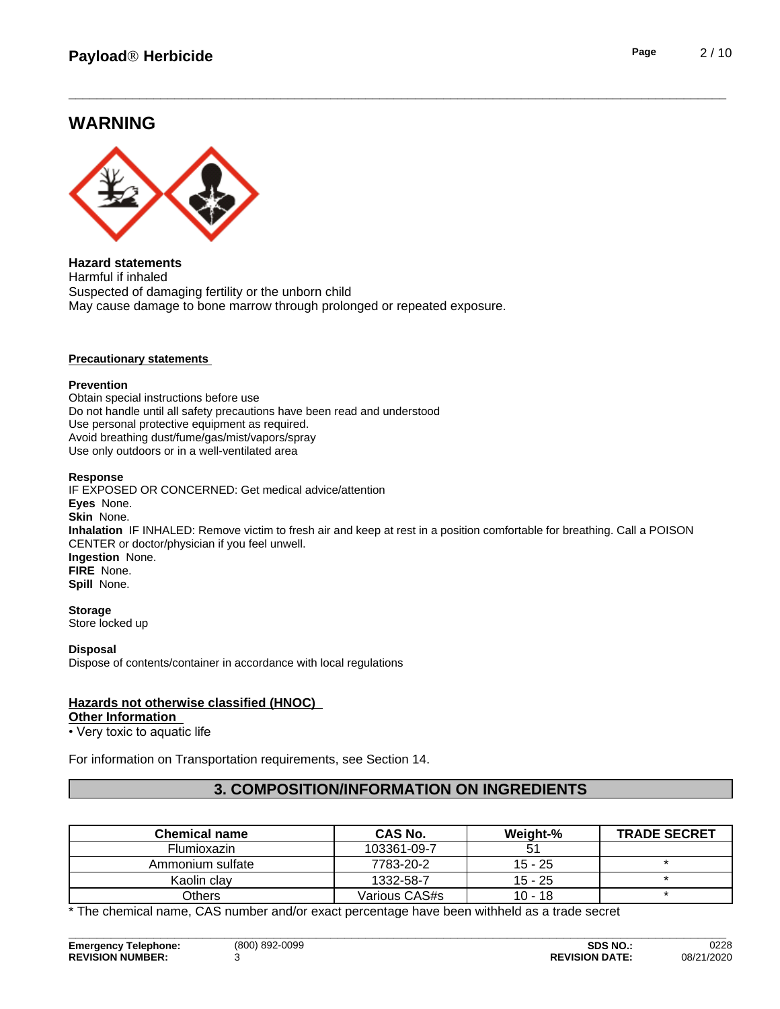## **WARNING**



**Hazard statements** Harmful if inhaled Suspected of damaging fertility or the unborn child May cause damage to bone marrow through prolonged or repeated exposure.

#### **Precautionary statements**

#### **Prevention**

Obtain special instructions before use Do not handle until all safety precautions have been read and understood Use personal protective equipment as required.Avoid breathing dust/fume/gas/mist/vapors/spray Use only outdoors or in a well-ventilated area

#### **Response**

IF EXPOSED OR CONCERNED: Get medical advice/attention **Eyes** None. **Skin** None. **Inhalation** IF INHALED: Remove victim to fresh air and keep at rest in a position comfortable for breathing. Call a POISON CENTER or doctor/physician if you feel unwell. **Ingestion** None. **FIRE** None. **Spill** None.

#### **Storage**

Store locked up

#### **Disposal**

Dispose of contents/container in accordance with local regulations

#### **Hazards not otherwise classified (HNOC)**

#### **Other Information**

• Very toxic to aquatic life

For information on Transportation requirements, see Section 14.

#### **3. COMPOSITION/INFORMATION ON INGREDIENTS**

| <b>Chemical name</b> | CAS No.       | Weight-%  | <b>TRADE SECRET</b> |
|----------------------|---------------|-----------|---------------------|
| <b>Flumioxazin</b>   | 103361-09-7   |           |                     |
| Ammonium sulfate     | 7783-20-2     | $15 - 25$ |                     |
| Kaolin clav          | 1332-58-7     | $15 - 25$ |                     |
| Others               | Various CAS#s | $10 - 18$ |                     |

**\_\_\_\_\_\_\_\_\_\_\_\_\_\_\_\_\_\_\_\_\_\_\_\_\_\_\_\_\_\_\_\_\_\_\_\_\_\_\_\_\_\_\_\_\_\_\_\_\_\_\_\_\_\_\_\_\_\_\_\_\_\_\_\_\_\_\_\_\_\_\_\_\_\_\_\_\_\_\_\_\_\_\_\_\_\_\_\_\_\_\_\_\_**

\* The chemical name, CAS number and/or exact percentage have been withheld as a trade secret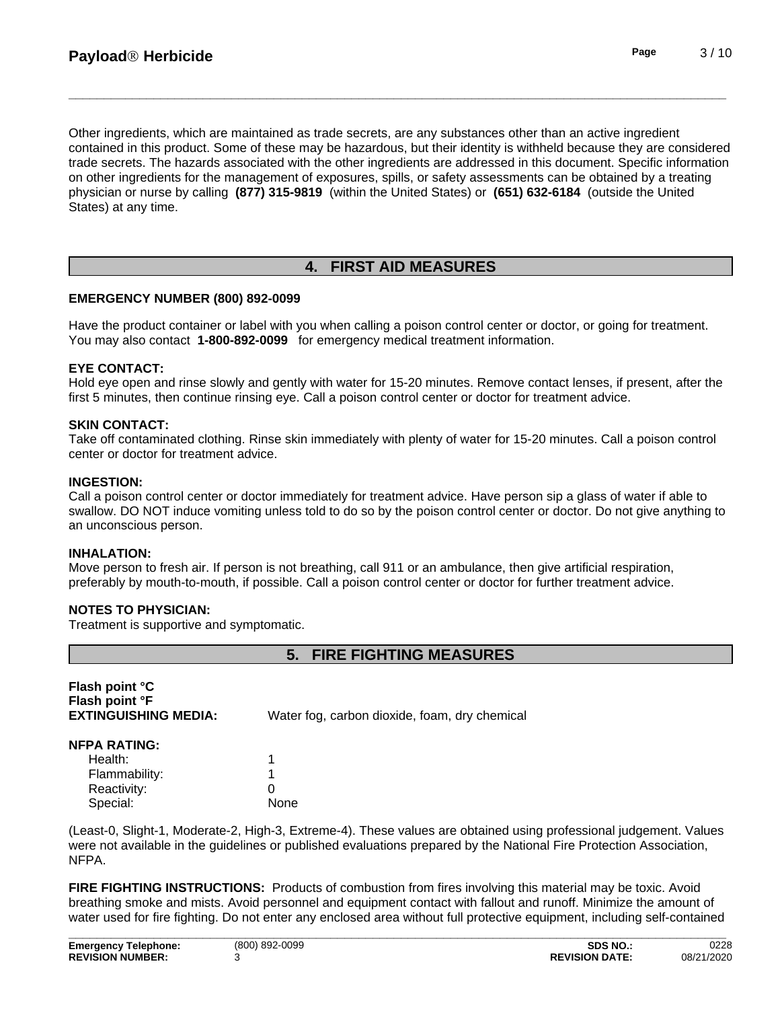Other ingredients, which are maintained as trade secrets, are any substances other than an active ingredient contained in this product. Some of these may be hazardous, but their identity is withheld because they are considered trade secrets. The hazards associated with the other ingredients are addressed in this document. Specific information on other ingredients for the management of exposures, spills, or safety assessments can be obtained by a treating physician or nurse by calling **(877) 315-9819** (within the United States) or **(651) 632-6184** (outside the United States) at any time.

## **4. FIRST AID MEASURES**

#### **EMERGENCY NUMBER (800) 892-0099**

Have the product container or label with you when calling a poison control center or doctor, or going for treatment. You may also contact **1-800-892-0099** for emergency medical treatment information.

#### **EYE CONTACT:**

Hold eye open and rinse slowly and gently with water for 15-20 minutes. Remove contact lenses, if present, after the first 5 minutes, then continue rinsing eye. Call a poison control center or doctor for treatment advice.

#### **SKIN CONTACT:**

Take off contaminated clothing. Rinse skin immediately with plenty of water for 15-20 minutes. Call a poison control center or doctor for treatment advice.

#### **INGESTION:**

Call a poison control center or doctor immediately for treatment advice. Have person sip a glass of water if able to swallow. DO NOT induce vomiting unless told to do so by the poison control center or doctor. Do not give anything to an unconscious person.

#### **INHALATION:**

Move person to fresh air. If person is not breathing, call 911 or an ambulance, then give artificial respiration, preferably by mouth-to-mouth, if possible. Call a poison control center or doctor for further treatment advice.

#### **NOTES TO PHYSICIAN:**

Treatment is supportive and symptomatic.

## **5. FIRE FIGHTING MEASURES**

| Flash point °C<br>Flash point °F<br><b>EXTINGUISHING MEDIA:</b> | Water fog, carbon dioxide, foam, dry chemical |
|-----------------------------------------------------------------|-----------------------------------------------|
| NFPA RATING:                                                    |                                               |
| Health:                                                         |                                               |
| Flammability:                                                   |                                               |
| Reactivity:                                                     | 0                                             |
| Special:                                                        | None                                          |

(Least-0, Slight-1, Moderate-2, High-3, Extreme-4). These values are obtained using professional judgement. Values were not available in the guidelines or published evaluations prepared by the National Fire Protection Association, NFPA.

**FIRE FIGHTING INSTRUCTIONS:** Products of combustion from fires involving this material may be toxic. Avoid breathing smoke and mists. Avoid personnel and equipment contact with fallout and runoff. Minimize the amount of water used for fire fighting. Do not enter any enclosed area without full protective equipment, including self-contained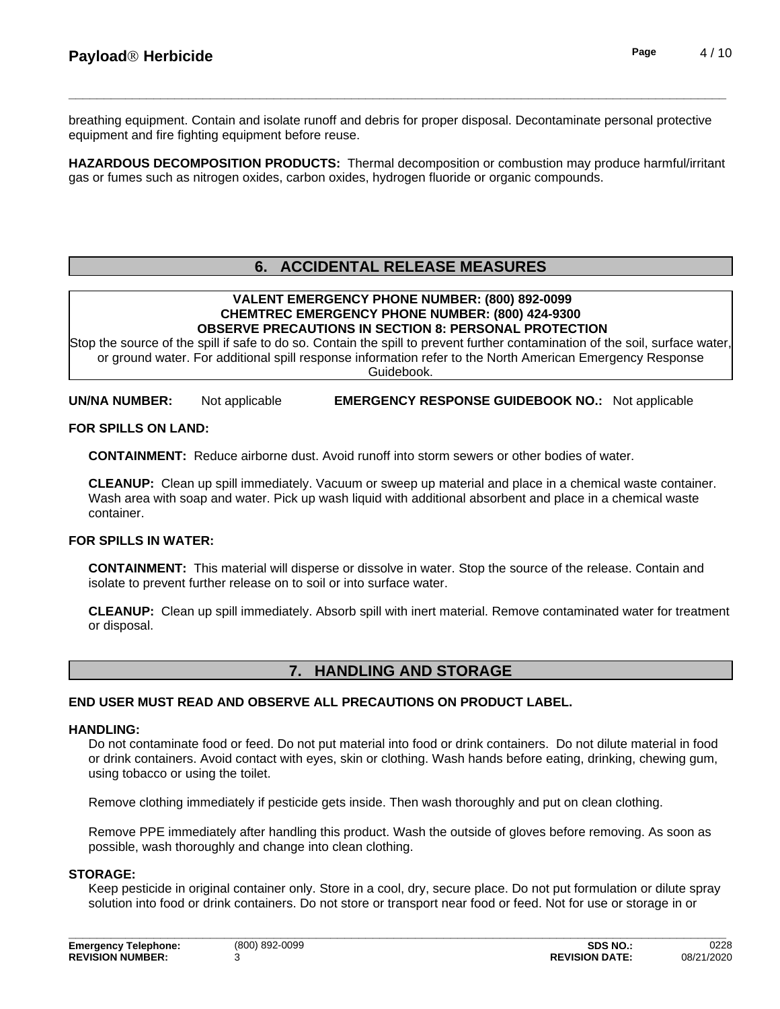breathing equipment.Contain and isolate runoff and debris for proper disposal. Decontaminate personal protective equipment and fire fighting equipment before reuse.

**HAZARDOUS DECOMPOSITION PRODUCTS:** Thermal decomposition or combustion may produce harmful/irritant gas or fumes such as nitrogen oxides, carbon oxides, hydrogen fluoride or organic compounds.

## **6. ACCIDENTAL RELEASE MEASURES**

#### **VALENT EMERGENCY PHONE NUMBER: (800) 892-0099 CHEMTREC EMERGENCY PHONE NUMBER: (800) 424-9300 OBSERVE PRECAUTIONS IN SECTION 8: PERSONAL PROTECTION**

Stop the source of the spill if safe to do so. Contain the spill to prevent further contamination of the soil, surface water, or ground water. For additional spill response information refer to the North American Emergency Response Guidebook.

**UN/NA NUMBER:** Not applicable **EMERGENCY RESPONSE GUIDEBOOK NO.:** Not applicable

#### **FOR SPILLS ON LAND:**

**CONTAINMENT:** Reduce airborne dust. Avoid runoff into storm sewers or other bodies of water.

**CLEANUP:** Clean up spill immediately. Vacuum or sweep up material and place in a chemical waste container. Wash area with soap and water. Pick up wash liquid with additional absorbent and place in a chemical waste container.

#### **FOR SPILLS IN WATER:**

**CONTAINMENT:** This material will disperse or dissolve in water. Stop the source of the release. Contain and isolate to prevent further release on to soil or into surface water.

**CLEANUP:** Clean up spill immediately. Absorb spill with inert material. Remove contaminated water for treatment or disposal.

## **7. HANDLING AND STORAGE**

#### **END USER MUST READ AND OBSERVE ALL PRECAUTIONS ON PRODUCT LABEL.**

#### **HANDLING:**

Do not contaminate food or feed. Do not put material into food or drink containers. Do not dilute material in food or drink containers. Avoid contact with eyes, skin or clothing. Wash hands before eating, drinking, chewing gum, using tobacco or using the toilet.

Remove clothing immediately if pesticide gets inside. Then wash thoroughly and put on clean clothing.

Remove PPE immediately after handling this product. Wash the outside of gloves before removing. As soon as possible, wash thoroughly and change into clean clothing.

#### **STORAGE:**

Keep pesticide in original container only. Store in a cool, dry, secure place. Do not put formulation or dilute spray solution into food or drink containers. Do not store or transport near food or feed. Not for use or storage in or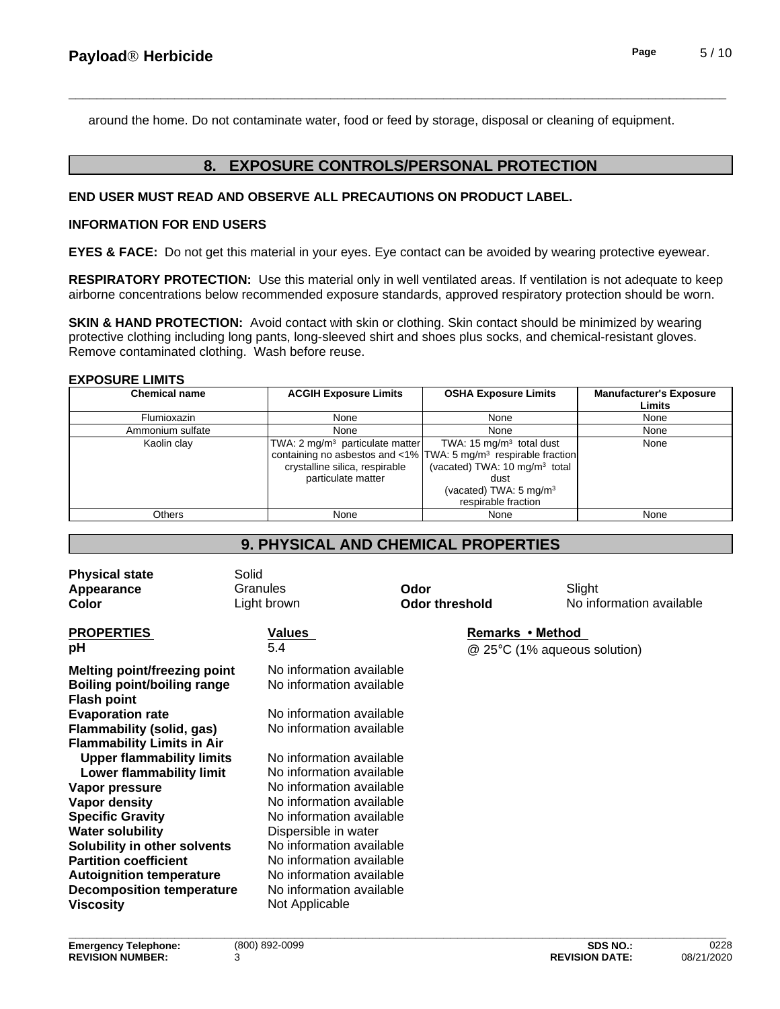around the home. Do not contaminate water, food or feed by storage, disposal or cleaning of equipment.

## **8. EXPOSURE CONTROLS/PERSONAL PROTECTION**

#### **END USER MUST READ AND OBSERVE ALL PRECAUTIONS ON PRODUCT LABEL.**

#### **INFORMATION FOR END USERS**

**EYES & FACE:** Do not get this material in your eyes. Eye contact can be avoided by wearing protective eyewear.

**RESPIRATORY PROTECTION:** Use this material only in well ventilated areas. If ventilation is not adequate to keep airborne concentrations below recommended exposure standards, approved respiratory protection should be worn.

**SKIN & HAND PROTECTION:** Avoid contact with skin or clothing. Skin contact should be minimized by wearing protective clothing including long pants, long-sleeved shirt and shoes plus socks, and chemical-resistant gloves. Remove contaminated clothing. Wash before reuse.

#### **EXPOSURE LIMITS**

| <b>Chemical name</b> | <b>ACGIH Exposure Limits</b>                                                                        | <b>OSHA Exposure Limits</b>                                                                                                                                                                                                          | <b>Manufacturer's Exposure</b><br><b>Limits</b> |
|----------------------|-----------------------------------------------------------------------------------------------------|--------------------------------------------------------------------------------------------------------------------------------------------------------------------------------------------------------------------------------------|-------------------------------------------------|
| Flumioxazin          | None                                                                                                | None                                                                                                                                                                                                                                 | None                                            |
| Ammonium sulfate     | None                                                                                                | None                                                                                                                                                                                                                                 | None                                            |
| Kaolin clay          | TWA: 2 mg/m <sup>3</sup> particulate matter<br>crystalline silica, respirable<br>particulate matter | TWA: 15 mg/m <sup>3</sup> total dust<br>containing no asbestos and <1% TWA: 5 mg/m <sup>3</sup> respirable fraction<br>(vacated) TWA: $10 \text{ mg/m}^3$ total<br>dust<br>(vacated) TWA: 5 mg/m <sup>3</sup><br>respirable fraction | None                                            |
| Others               | None                                                                                                | None                                                                                                                                                                                                                                 | None                                            |

## **9. PHYSICAL AND CHEMICAL PROPERTIES**

| <b>Physical state</b><br>Appearance<br>Color                                             | Solid<br>Granules<br>Light brown                     | Odor<br><b>Odor threshold</b> | Slight<br>No information available |
|------------------------------------------------------------------------------------------|------------------------------------------------------|-------------------------------|------------------------------------|
| <b>PROPERTIES</b><br>рH                                                                  | <b>Values</b><br>5.4                                 | Remarks • Method              | @ 25°C (1% aqueous solution)       |
| <b>Melting point/freezing point</b><br>Boiling point/boiling range<br><b>Flash point</b> | No information available<br>No information available |                               |                                    |
| <b>Evaporation rate</b>                                                                  | No information available                             |                               |                                    |
| Flammability (solid, gas)                                                                |                                                      | No information available      |                                    |
| <b>Flammability Limits in Air</b>                                                        |                                                      |                               |                                    |
| <b>Upper flammability limits</b>                                                         | No information available                             |                               |                                    |
| Lower flammability limit                                                                 |                                                      | No information available      |                                    |
| Vapor pressure                                                                           | No information available                             |                               |                                    |
| Vapor density                                                                            | No information available                             |                               |                                    |
| <b>Specific Gravity</b>                                                                  | No information available                             |                               |                                    |
| <b>Water solubility</b>                                                                  | Dispersible in water                                 |                               |                                    |
| Solubility in other solvents                                                             | No information available                             |                               |                                    |
| <b>Partition coefficient</b>                                                             | No information available                             |                               |                                    |
| <b>Autoignition temperature</b>                                                          | No information available                             |                               |                                    |
| <b>Decomposition temperature</b>                                                         | No information available                             |                               |                                    |
| <b>Viscosity</b>                                                                         | Not Applicable                                       |                               |                                    |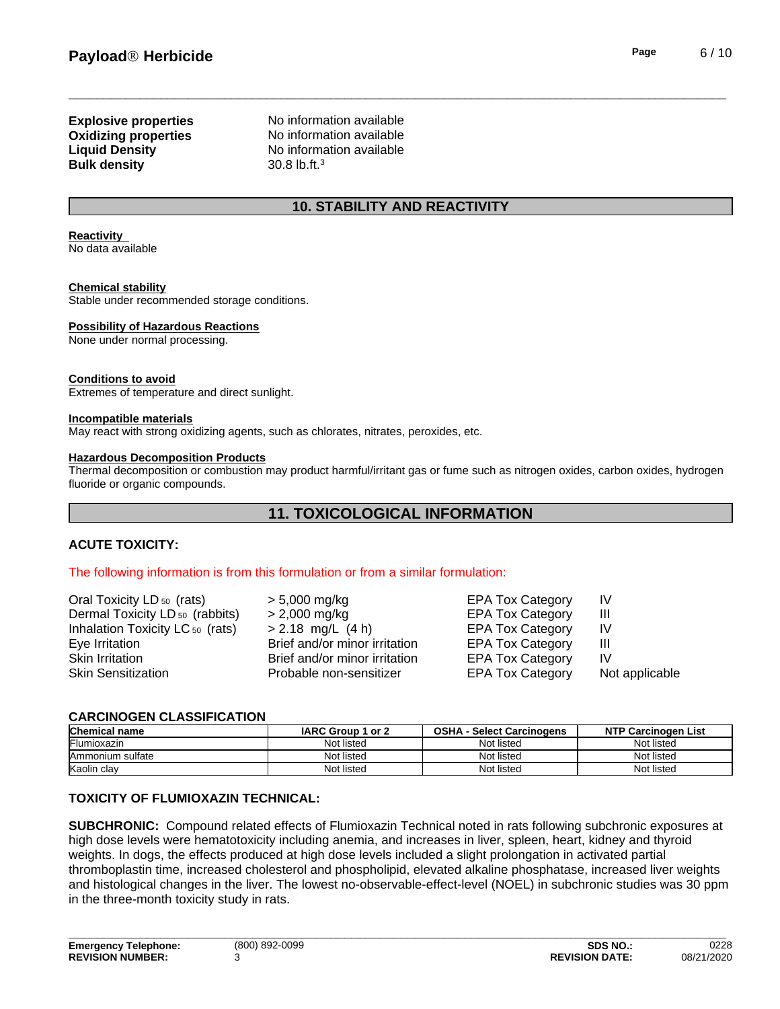# **Bulk density** 30.8 lb.ft.<sup>3</sup>

**Explosive properties** No information available **Oxidizing properties** No information available **Liquid Density** No information available

## **10. STABILITY AND REACTIVITY**

#### **Reactivity**

No data available

#### **Chemical stability**

Stable under recommended storage conditions.

#### **Possibility of Hazardous Reactions**

None under normal processing.

#### **Conditions to avoid**

Extremes of temperature and direct sunlight.

#### **Incompatible materials**

May react with strong oxidizing agents, such as chlorates, nitrates, peroxides, etc.

#### **Hazardous Decomposition Products**

Thermal decomposition or combustion may product harmful/irritant gas or fume such as nitrogen oxides, carbon oxides, hydrogen fluoride or organic compounds.

## **11. TOXICOLOGICAL INFORMATION**

#### **ACUTE TOXICITY:**

#### The following information is from this formulation or from a similar formulation:

| > 5,000 mg/kg                 |               | IV<br>Ш                                                                                                                                                        |
|-------------------------------|---------------|----------------------------------------------------------------------------------------------------------------------------------------------------------------|
| $> 2.18$ mg/L (4 h)           |               | IV                                                                                                                                                             |
| Brief and/or minor irritation |               | Ш                                                                                                                                                              |
| Brief and/or minor irritation |               | IV                                                                                                                                                             |
| Probable non-sensitizer       |               | Not applicable                                                                                                                                                 |
|                               | > 2,000 mg/kg | <b>EPA Tox Category</b><br><b>EPA Tox Category</b><br><b>EPA Tox Category</b><br><b>EPA Tox Category</b><br><b>EPA Tox Category</b><br><b>EPA Tox Category</b> |

#### **CARCINOGEN CLASSIFICATION**

| <b>Chemical name</b> | <b>IARC Group</b><br>or 2 | <b>OSHA</b><br>- Select Carcinogens | <b>NTP Carcinogen List</b> |
|----------------------|---------------------------|-------------------------------------|----------------------------|
| Flumioxazin          | Not listed                | Not listed                          | Not listec                 |
| Ammonium sulfate     | Not listed                | Not listed                          | Not listed                 |
| Kaolin clay          | Not listed                | Not listed                          | Not listec                 |

#### **TOXICITY OF FLUMIOXAZIN TECHNICAL:**

**SUBCHRONIC:** Compound related effects of Flumioxazin Technical noted in rats following subchronic exposures at high dose levels were hematotoxicity including anemia, and increases in liver, spleen, heart, kidney and thyroid weights. In dogs, the effects produced at high dose levels included a slight prolongation in activated partial thromboplastin time, increased cholesterol and phospholipid, elevated alkaline phosphatase, increased liver weights and histological changes in the liver. The lowest no-observable-effect-level (NOEL) in subchronic studies was 30 ppm in the three-month toxicity study in rats.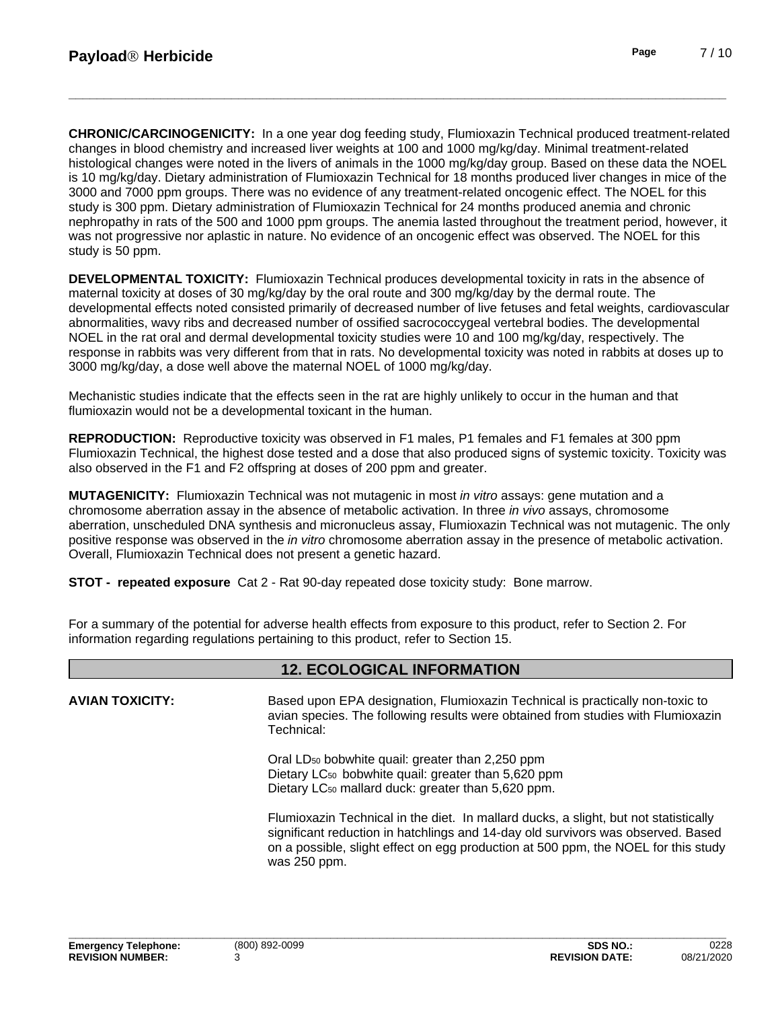**CHRONIC/CARCINOGENICITY:** In a one year dog feeding study, Flumioxazin Technical produced treatment-related changes in blood chemistry and increased liver weights at 100 and 1000 mg/kg/day. Minimal treatment-related histological changes were noted in the livers of animals in the 1000 mg/kg/day group. Based on these data the NOEL is 10 mg/kg/day. Dietary administration of Flumioxazin Technical for 18 months produced liver changes in mice of the 3000 and 7000 ppm groups. There was no evidence of any treatment-related oncogenic effect. The NOEL for this study is 300 ppm. Dietary administration of Flumioxazin Technical for 24 months produced anemia and chronic nephropathy in rats of the 500 and 1000 ppm groups. The anemia lasted throughout the treatment period, however, it was not progressive nor aplastic in nature. No evidence of an oncogenic effect was observed. The NOEL for this study is 50 ppm.

**DEVELOPMENTAL TOXICITY:**Flumioxazin Technical produces developmental toxicity in rats in the absence of maternal toxicity at doses of 30 mg/kg/day by the oral route and 300 mg/kg/day by the dermal route. The developmental effects noted consisted primarily of decreased number of live fetuses and fetal weights, cardiovascular abnormalities, wavy ribs and decreased number of ossified sacrococcygeal vertebral bodies. The developmental NOEL in the rat oral and dermal developmental toxicity studies were 10 and 100 mg/kg/day, respectively. The response in rabbits was very different from that in rats. No developmental toxicity was noted in rabbits at doses up to 3000 mg/kg/day, a dose well above the maternal NOEL of 1000 mg/kg/day.

Mechanistic studies indicate that the effects seen in the rat are highly unlikely to occur in the human and that flumioxazin would not be a developmental toxicant in the human.

**REPRODUCTION:** Reproductive toxicity was observed in F1 males, P1 females and F1 females at 300 ppm Flumioxazin Technical, the highest dose tested and a dose that also produced signs of systemic toxicity. Toxicity was also observed in the F1 and F2 offspring at doses of 200 ppm and greater.

**MUTAGENICITY:** Flumioxazin Technical was not mutagenic in most *in vitro* assays: gene mutation and a chromosome aberration assay in the absence of metabolic activation. In three *in vivo* assays, chromosome aberration, unscheduled DNA synthesis and micronucleus assay, Flumioxazin Technical was not mutagenic. The only positive response was observed in the *in vitro* chromosome aberration assay in the presence of metabolic activation. Overall, Flumioxazin Technical does not present a genetic hazard.

**STOT - repeated exposure** Cat 2 - Rat 90-day repeated dose toxicity study: Bone marrow.

For a summary of the potential for adverse health effects from exposure to this product, refer to Section 2. For information regarding regulations pertaining to this product, refer to Section 15.

## **12. ECOLOGICAL INFORMATION**

**AVIAN TOXICITY:** Based upon EPA designation, Flumioxazin Technical is practically non-toxic to avian species. The following results were obtained from studies with Flumioxazin Technical:

> Oral LD<sup>50</sup> bobwhite quail: greater than 2,250 ppm Dietary LC<sub>50</sub> bobwhite quail: greater than 5,620 ppm

Dietary LC<sub>50</sub> mallard duck: greater than 5,620 ppm.<br>Flumioxazin Technical in the diet. In mallard ducks, a slight, but not statistically significant reduction in hatchlings and 14-day old survivors was observed. Based on a possible, slight effect on egg production at 500 ppm, the NOEL for this study was 250 ppm.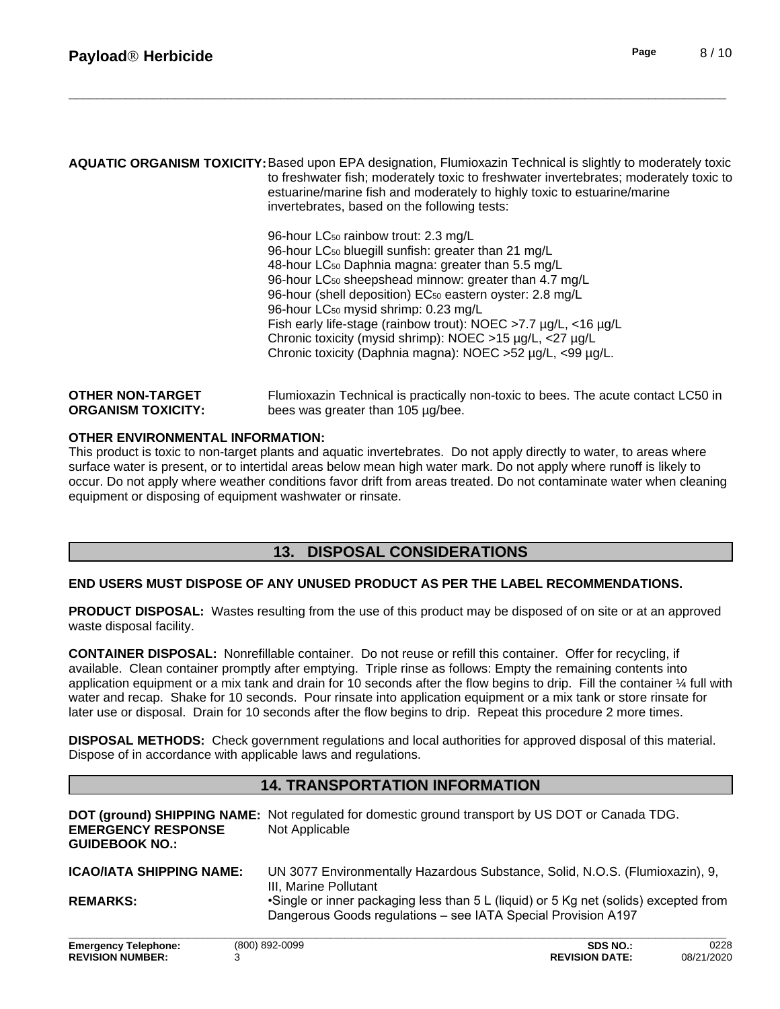|                           | AQUATIC ORGANISM TOXICITY: Based upon EPA designation, Flumioxazin Technical is slightly to moderately toxic<br>to freshwater fish; moderately toxic to freshwater invertebrates; moderately toxic to<br>estuarine/marine fish and moderately to highly toxic to estuarine/marine<br>invertebrates, based on the following tests: |
|---------------------------|-----------------------------------------------------------------------------------------------------------------------------------------------------------------------------------------------------------------------------------------------------------------------------------------------------------------------------------|
|                           | 96-hour LC <sub>50</sub> rainbow trout: 2.3 mg/L                                                                                                                                                                                                                                                                                  |
|                           | 96-hour LC <sub>50</sub> bluegill sunfish: greater than 21 mg/L                                                                                                                                                                                                                                                                   |
|                           | 48-hour LC <sub>50</sub> Daphnia magna: greater than 5.5 mg/L                                                                                                                                                                                                                                                                     |
|                           | 96-hour LC <sub>50</sub> sheepshead minnow: greater than 4.7 mg/L                                                                                                                                                                                                                                                                 |
|                           | 96-hour (shell deposition) EC <sub>50</sub> eastern oyster: 2.8 mg/L                                                                                                                                                                                                                                                              |
|                           | 96-hour LC <sub>50</sub> mysid shrimp: 0.23 mg/L                                                                                                                                                                                                                                                                                  |
|                           | Fish early life-stage (rainbow trout): NOEC >7.7 µg/L, <16 µg/L                                                                                                                                                                                                                                                                   |
|                           | Chronic toxicity (mysid shrimp): NOEC >15 µg/L, <27 µg/L                                                                                                                                                                                                                                                                          |
|                           | Chronic toxicity (Daphnia magna): NOEC > 52 µg/L, <99 µg/L.                                                                                                                                                                                                                                                                       |
| <b>OTHER NON-TARGET</b>   | Flumioxazin Technical is practically non-toxic to bees. The acute contact LC50 in                                                                                                                                                                                                                                                 |
| <b>ORGANISM TOXICITY:</b> | bees was greater than 105 ug/bee.                                                                                                                                                                                                                                                                                                 |

#### **OTHER ENVIRONMENTAL INFORMATION:**

This product is toxic to non-target plants and aquatic invertebrates. Do not apply directly to water, to areas where surface water is present, or to intertidal areas below mean high water mark. Do not apply where runoff is likely to occur. Do not apply where weather conditions favor drift from areas treated. Do not contaminate water when cleaning equipment or disposing of equipment washwater or rinsate.

## **13. DISPOSAL CONSIDERATIONS**

#### **END USERS MUST DISPOSE OF ANY UNUSED PRODUCT AS PER THE LABEL RECOMMENDATIONS.**

**PRODUCT DISPOSAL:** Wastes resulting from the use of this product may be disposed of on site or at an approved waste disposal facility.

**CONTAINER DISPOSAL:** Nonrefillable container. Do not reuse or refill this container. Offer for recycling, if available. Clean container promptly after emptying. Triple rinse as follows: Empty the remaining contents into application equipment or a mix tank and drain for 10 seconds after the flow begins to drip. Fill the container  $\frac{1}{4}$  full with water and recap. Shake for 10 seconds. Pour rinsate into application equipment or a mix tank or store rinsate for later use or disposal. Drain for 10 seconds after the flow begins to drip. Repeat this procedure 2 more times.

**DISPOSAL METHODS:** Check government regulations and local authorities for approved disposal of this material. Dispose of in accordance with applicable laws and regulations.

## **14. TRANSPORTATION INFORMATION**

| <b>EMERGENCY RESPONSE</b><br><b>GUIDEBOOK NO.:</b> | DOT (ground) SHIPPING NAME: Not regulated for domestic ground transport by US DOT or Canada TDG.<br>Not Applicable |  |
|----------------------------------------------------|--------------------------------------------------------------------------------------------------------------------|--|
| <b>ICAO/IATA SHIPPING NAME:</b>                    | UN 3077 Environmentally Hazardous Substance, Solid, N.O.S. (Flumioxazin), 9,                                       |  |
|                                                    | III. Marine Pollutant                                                                                              |  |
| <b>REMARKS:</b>                                    | •Single or inner packaging less than 5 L (liquid) or 5 Kg net (solids) excepted from                               |  |
|                                                    | Dangerous Goods regulations - see IATA Special Provision A197                                                      |  |
| _ _ _                                              | $\sim$ $\sim$ $\sim$<br>0.000<br>(0.001, 0.000, 0.000)                                                             |  |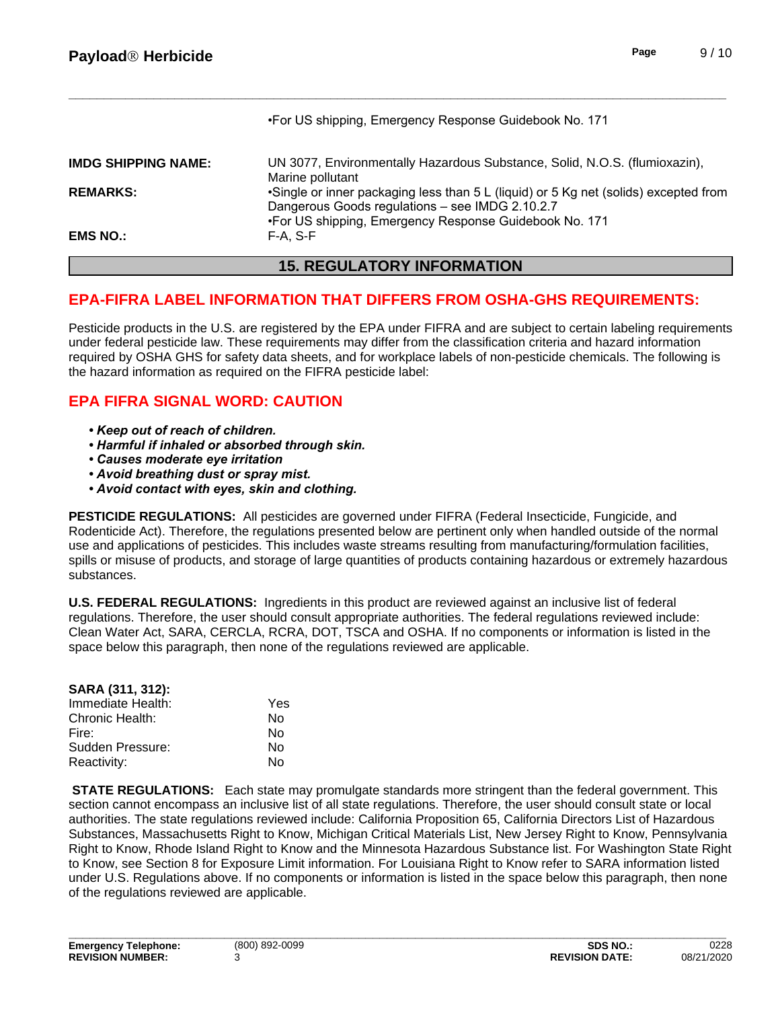|                            | <b>15. REGULATORY INFORMATION</b>                                                                         |
|----------------------------|-----------------------------------------------------------------------------------------------------------|
| <b>EMS NO.:</b>            | F-A. S-F                                                                                                  |
|                            | Dangerous Goods regulations - see IMDG 2.10.2.7<br>•For US shipping, Emergency Response Guidebook No. 171 |
| <b>REMARKS:</b>            | Marine pollutant<br>•Single or inner packaging less than 5 L (liquid) or 5 Kg net (solids) excepted from  |
| <b>IMDG SHIPPING NAME:</b> | UN 3077, Environmentally Hazardous Substance, Solid, N.O.S. (flumioxazin),                                |
|                            | •For US shipping, Emergency Response Guidebook No. 171                                                    |

## **EPA-FIFRA LABEL INFORMATION THAT DIFFERS FROM OSHA-GHS REQUIREMENTS:**

Pesticide products in the U.S. are registered by the EPA under FIFRA and are subject to certain labeling requirements under federal pesticide law. These requirements may differ from the classification criteria and hazard information required by OSHA GHS for safety data sheets, and for workplace labels of non-pesticide chemicals. The following is the hazard information as required on the FIFRA pesticide label:

## **EPA FIFRA SIGNAL WORD: CAUTION**

- *•Keepoutofreachofchildren.*
- **Harmful if inhaled or absorbed through skin.**
- **Causes moderate eye irritation**
- **Avoid breathing dust or spray mist.**
- *•Avoidcontactwitheyes,skinandclothing.*

**PESTICIDE REGULATIONS:** All pesticides are governed under FIFRA (Federal Insecticide, Fungicide, and Rodenticide Act). Therefore, the regulations presented below are pertinent only when handled outside of the normal use and applications of pesticides. This includes waste streams resulting from manufacturing/formulation facilities, spills or misuse of products, and storage of large quantities of products containing hazardous or extremely hazardous substances.

**U.S. FEDERAL REGULATIONS:** Ingredients in this product are reviewed against an inclusive list of federal regulations. Therefore, the user should consult appropriate authorities. The federal regulations reviewed include: Clean Water Act, SARA, CERCLA, RCRA, DOT, TSCA and OSHA. If no components or information islisted in the space below this paragraph, then none of the regulations reviewed are applicable.

| SARA (311, 312):  |     |  |
|-------------------|-----|--|
| Immediate Health: | Yes |  |
| Chronic Health:   | N٥  |  |
| Fire:             | N٥  |  |
| Sudden Pressure:  | No  |  |
| Reactivity:       | N٥  |  |

**STATE REGULATIONS:** Each state may promulgate standards more stringent than the federal government. This section cannot encompass an inclusive list of all state regulations. Therefore, the user should consult state or local authorities. The state regulations reviewed include: California Proposition 65, California Directors List of Hazardous Substances, Massachusetts Right to Know, Michigan Critical Materials List, New Jersey Right to Know, Pennsylvania Right to Know, Rhode Island Right to Know and the Minnesota Hazardous Substance list. For Washington State Right to Know, see Section 8 for Exposure Limit information. For Louisiana Right to Know refer to SARA information listed under U.S. Regulations above. If no components or information is listed in the space below this paragraph, then none of the regulations reviewed are applicable.